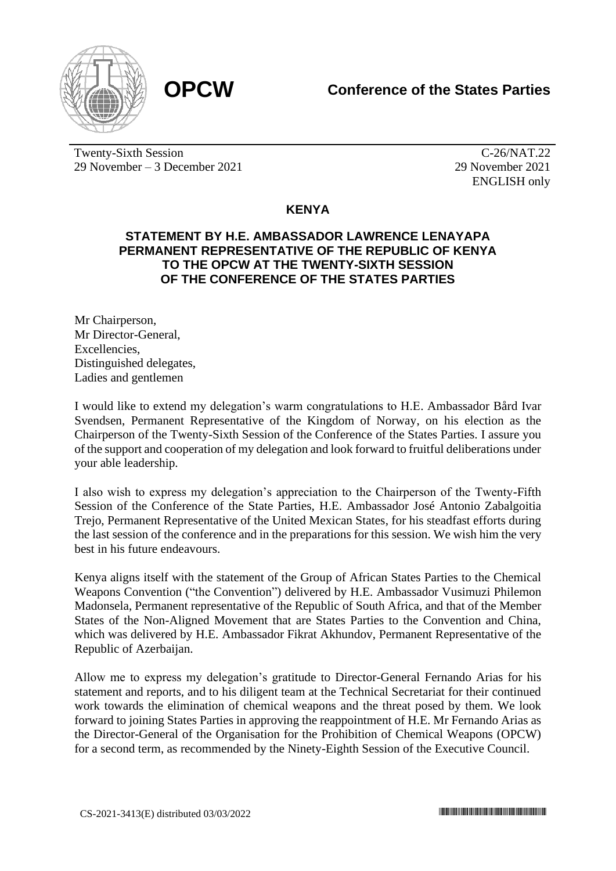



Twenty-Sixth Session 29 November – 3 December 2021

C-26/NAT.22 29 November 2021 ENGLISH only

## **KENYA**

## **STATEMENT BY H.E. AMBASSADOR LAWRENCE LENAYAPA PERMANENT REPRESENTATIVE OF THE REPUBLIC OF KENYA TO THE OPCW AT THE TWENTY-SIXTH SESSION OF THE CONFERENCE OF THE STATES PARTIES**

Mr Chairperson, Mr Director-General, **Excellencies** Distinguished delegates, Ladies and gentlemen

I would like to extend my delegation's warm congratulations to H.E. Ambassador Bård Ivar Svendsen, Permanent Representative of the Kingdom of Norway, on his election as the Chairperson of the Twenty-Sixth Session of the Conference of the States Parties. I assure you of the support and cooperation of my delegation and look forward to fruitful deliberations under your able leadership.

I also wish to express my delegation's appreciation to the Chairperson of the Twenty-Fifth Session of the Conference of the State Parties, H.E. Ambassador José Antonio Zabalgoitia Trejo, Permanent Representative of the United Mexican States, for his steadfast efforts during the last session of the conference and in the preparations for this session. We wish him the very best in his future endeavours.

Kenya aligns itself with the statement of the Group of African States Parties to the Chemical Weapons Convention ("the Convention") delivered by H.E. Ambassador Vusimuzi Philemon Madonsela, Permanent representative of the Republic of South Africa, and that of the Member States of the Non-Aligned Movement that are States Parties to the Convention and China, which was delivered by H.E. Ambassador Fikrat Akhundov, Permanent Representative of the Republic of Azerbaijan.

Allow me to express my delegation's gratitude to Director-General Fernando Arias for his statement and reports, and to his diligent team at the Technical Secretariat for their continued work towards the elimination of chemical weapons and the threat posed by them. We look forward to joining States Parties in approving the reappointment of H.E. Mr Fernando Arias as the Director-General of the Organisation for the Prohibition of Chemical Weapons (OPCW) for a second term, as recommended by the Ninety-Eighth Session of the Executive Council.